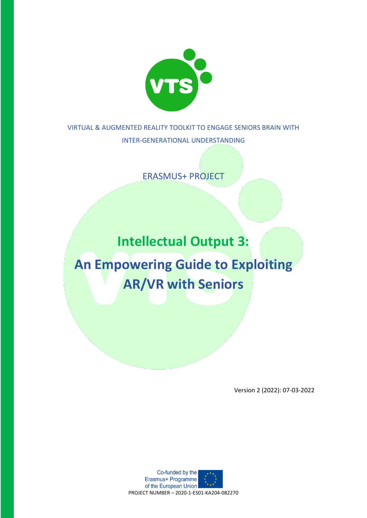

VIRTUAL & AUGMENTED REALITY TOOLKIT TO ENGAGE SENIORS BRAIN WITH INTER-GENERATIONAL UNDERSTANDING

ERASMUS+ PROJECT

**Intellectual Output 3:**

**An Empowering Guide to Exploiting AR/VR with Seniors**

Version 2 (2022): 07-03-2022

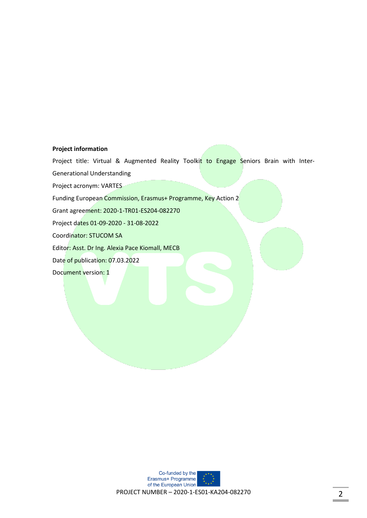#### **Project information**

Project title: Virtual & Augmented Reality Toolkit to Engage Seniors Brain with Inter-

Generational Understanding

Project acronym: VARTES

Funding European Commission, Erasmus+ Programme, Key Action 2

Grant agreement: 2020-1-TR01-ES204-082270

Project dates 01-09-2020 - 31-08-2022

Coordinator: STUCOM SA

Editor: Asst. Dr Ing. Alexia Pace Kiomall, MECB

Date of publication: 07.03.2022

Document version: 1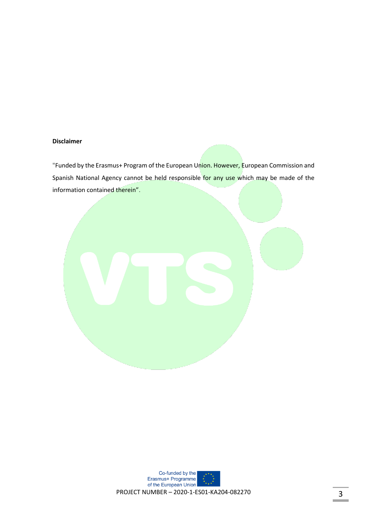#### **Disclaimer**

"Funded by the Erasmus+ Program of the European Union. However, European Commission and Spanish National Agency cannot be held responsible for any use which may be made of the information contained therein".



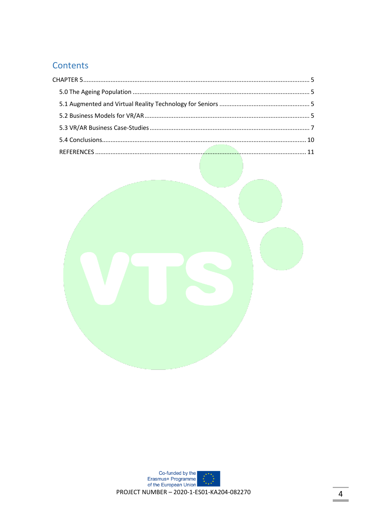## Contents

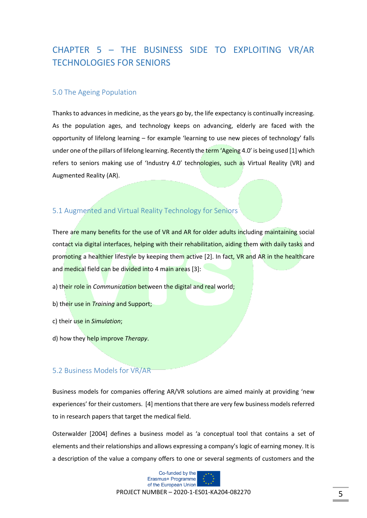# <span id="page-4-0"></span>CHAPTER 5 – THE BUSINESS SIDE TO EXPLOITING VR/AR TECHNOLOGIES FOR SENIORS

## <span id="page-4-1"></span>5.0 The Ageing Population

Thanks to advances in medicine, as the years go by, the life expectancy is continually increasing. As the population ages, and technology keeps on advancing, elderly are faced with the opportunity of lifelong learning – for example 'learning to use new pieces of technology' falls under one of the pillars of lifelong learning. Recently the term 'Ageing 4.0' is being used [1] which refers to seniors making use of 'Industry 4.0' technologies, such as Virtual Reality (VR) and Augmented Reality (AR).

## <span id="page-4-2"></span>5.1 Augmented and Virtual Reality Technology for Seniors

There are many benefits for the use of VR and AR for older adults including maintaining social contact via digital interfaces, helping with their rehabilitation, aiding them with daily tasks and promoting a healthier lifestyle by keeping them active [2]. In fact, VR and AR in the healthcare and medical field can be divided into 4 main areas [3]:

- a) their role in *Communication* between the digital and real world;
- b) their use in *Training* and Support;
- c) their use in *Simulation*;
- d) how they help improve *Therapy*.

#### <span id="page-4-3"></span>5.2 Business Models for VR/AR

Business models for companies offering AR/VR solutions are aimed mainly at providing 'new experiences' for their customers. [4] mentions that there are very few business models referred to in research papers that target the medical field.

Osterwalder [2004] defines a business model as 'a conceptual tool that contains a set of elements and their relationships and allows expressing a company's logic of earning money. It is a description of the value a company offers to one or several segments of customers and the



PROJECT NUMBER – 2020-1-ES01-KA204-082270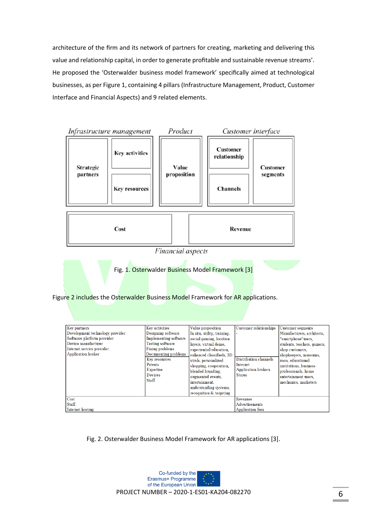architecture of the firm and its network of partners for creating, marketing and delivering this value and relationship capital, in order to generate profitable and sustainable revenue streams'. He proposed the 'Osterwalder business model framework' specifically aimed at technological businesses, as per Figure 1, containing 4 pillars (Infrastructure Management, Product, Customer Interface and Financial Aspects) and 9 related elements.



**Staff** Internet hosting

Fig. 2. Osterwalder Business Model Framework for AR applications [3].

Advertisements

**Application fees** 

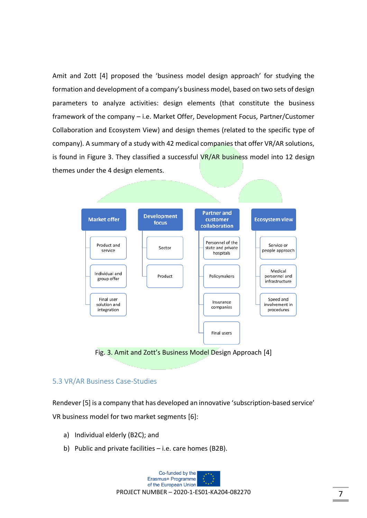Amit and Zott [4] proposed the 'business model design approach' for studying the formation and development of a company's business model, based on two sets of design parameters to analyze activities: design elements (that constitute the business framework of the company – i.e. Market Offer, Development Focus, Partner/Customer Collaboration and Ecosystem View) and design themes (related to the specific type of company). A summary of a study with 42 medical companies that offer VR/AR solutions, is found in Figure 3. They classified a successful VR/AR business model into 12 design themes under the 4 design elements.



Fig. 3. Amit and Zott's Business Model Design Approach [4]

## <span id="page-6-0"></span>5.3 VR/AR Business Case-Studies

Rendever [5] is a company that has developed an innovative 'subscription-based service' VR business model for two market segments [6]:

- a) Individual elderly (B2C); and
- b) Public and private facilities i.e. care homes (B2B).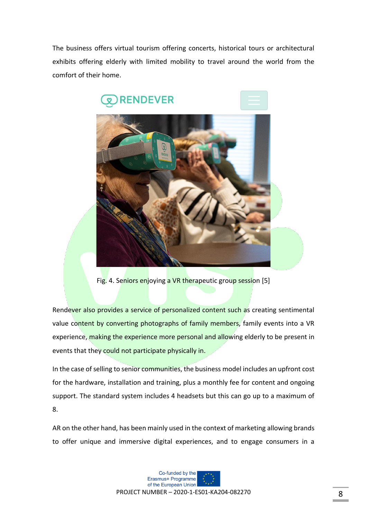The business offers virtual tourism offering concerts, historical tours or architectural exhibits offering elderly with limited mobility to travel around the world from the comfort of their home.



Fig. 4. Seniors enjoying a VR therapeutic group session [5]

Rendever also provides a service of personalized content such as creating sentimental value content by converting photographs of family members, family events into a VR experience, making the experience more personal and allowing elderly to be present in events that they could not participate physically in.

In the case of selling to senior communities, the business model includes an upfront cost for the hardware, installation and training, plus a monthly fee for content and ongoing support. The standard system includes 4 headsets but this can go up to a maximum of 8.

AR on the other hand, has been mainly used in the context of marketing allowing brands to offer unique and immersive digital experiences, and to engage consumers in a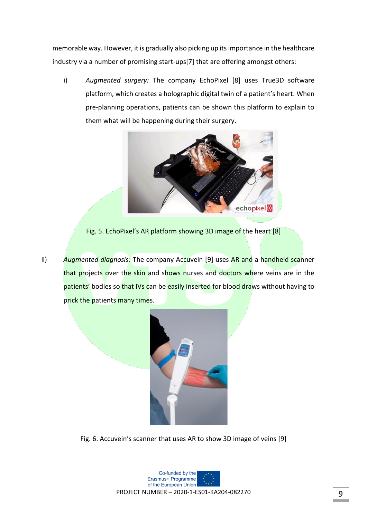memorable way. However, it is gradually also picking up its importance in the healthcare industry via a number of promising start-ups[7] that are offering amongst others:

i) *Augmented surgery:* The company EchoPixel [8] uses True3D software platform, which creates a holographic digital twin of a patient's heart. When pre-planning operations, patients can be shown this platform to explain to them what will be happening during their surgery.



Fig. 5. EchoPixel's AR platform showing 3D image of the heart [8]

ii) *Augmented diagnosis:* The company Accuvein [9] uses AR and a handheld scanner that projects over the skin and shows nurses and doctors where veins are in the patients' bodies so that IVs can be easily inserted for blood draws without having to prick the patients many times.



Fig. 6. Accuvein's scanner that uses AR to show 3D image of veins [9]

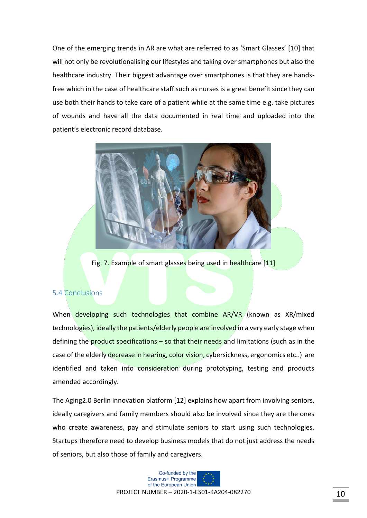One of the emerging trends in AR are what are referred to as 'Smart Glasses' [10] that will not only be revolutionalising our lifestyles and taking over smartphones but also the healthcare industry. Their biggest advantage over smartphones is that they are handsfree which in the case of healthcare staff such as nurses is a great benefit since they can use both their hands to take care of a patient while at the same time e.g. take pictures of wounds and have all the data documented in real time and uploaded into the patient's electronic record database.



Fig. 7. Example of smart glasses being used in healthcare [11]

## <span id="page-9-0"></span>5.4 Conclusions

When developing such technologies that combine AR/VR (known as XR/mixed technologies), ideally the patients/elderly people are involved in a very early stage when defining the **product specifications – so that their needs** and limitations (such as in the case of the elderly decrease in hearing, color vision, cybersickness, ergonomics etc..) are identified and taken into consideration during prototyping, testing and products amended accordingly.

The Aging2.0 Berlin innovation platform [12] explains how apart from involving seniors, ideally caregivers and family members should also be involved since they are the ones who create awareness, pay and stimulate seniors to start using such technologies. Startups therefore need to develop business models that do not just address the needs of seniors, but also those of family and caregivers.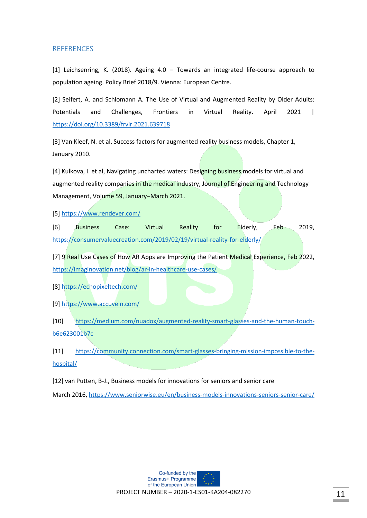#### <span id="page-10-0"></span>**REFERENCES**

[1] Leichsenring, K. (2018). Ageing 4.0 – Towards an integrated life-course approach to population ageing. Policy Brief 2018/9. Vienna: European Centre.

[2] Seifert, A. and Schlomann A. The Use of Virtual and Augmented Reality by Older Adults: Potentials and Challenges, Frontiers in Virtual Reality. April 2021 | <https://doi.org/10.3389/frvir.2021.639718>

[3] Van Kleef, N. et al, Success factors for augmented reality business models, Chapter 1, January 2010.

[4] Kulkova, I. et al, Navigating uncharted waters: Designing business models for virtual and augmented reality companies in the medical industry, Journal of Engineering and Technology Management, Volume 59, January–March 2021.

[5]<https://www.rendever.com/>

[6] Business Case: Virtual Reality for Elderly, Feb 2019, <https://consumervaluecreation.com/2019/02/19/virtual-reality-for-elderly/>

[7] 9 Real Use Cases of How AR Apps are Improving the Patient Medical Experience, Feb 2022, <https://imaginovation.net/blog/ar-in-healthcare-use-cases/>

[8]<https://echopixeltech.com/>

[9]<https://www.accuvein.com/>

[10] [https://medium.com/nuadox/augmented-reality-smart-glasses-and-the-human-touch](https://medium.com/nuadox/augmented-reality-smart-glasses-and-the-human-touch-b6e623001b7c)[b6e623001b7c](https://medium.com/nuadox/augmented-reality-smart-glasses-and-the-human-touch-b6e623001b7c)

[11] [https://community.connection.com/smart-glasses-bringing-mission-impossible-to-the](https://community.connection.com/smart-glasses-bringing-mission-impossible-to-the-hospital/)[hospital/](https://community.connection.com/smart-glasses-bringing-mission-impossible-to-the-hospital/)

[12] van Putten, B-J., Business models for innovations for seniors and senior care

March 2016,<https://www.seniorwise.eu/en/business-models-innovations-seniors-senior-care/>